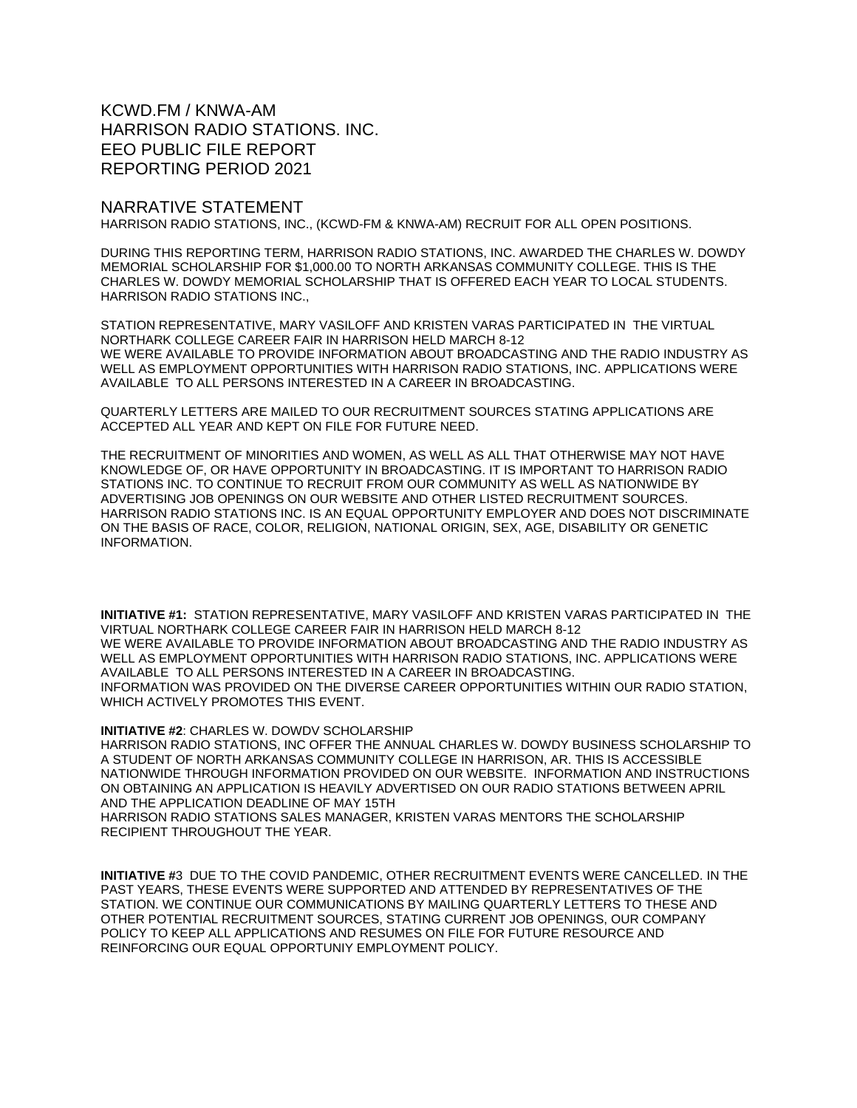KCWD.FM / KNWA-AM HARRISON RADIO STATIONS. INC. EEO PUBLIC FILE REPORT REPORTING PERIOD 2021

## NARRATIVE STATEMENT

HARRISON RADIO STATIONS, INC., (KCWD-FM & KNWA-AM) RECRUIT FOR ALL OPEN POSITIONS.

DURING THIS REPORTING TERM, HARRISON RADIO STATIONS, INC. AWARDED THE CHARLES W. DOWDY MEMORIAL SCHOLARSHIP FOR \$1,000.00 TO NORTH ARKANSAS COMMUNITY COLLEGE. THIS IS THE CHARLES W. DOWDY MEMORIAL SCHOLARSHIP THAT IS OFFERED EACH YEAR TO LOCAL STUDENTS. HARRISON RADIO STATIONS INC.,

STATION REPRESENTATIVE, MARY VASILOFF AND KRISTEN VARAS PARTICIPATED IN THE VIRTUAL NORTHARK COLLEGE CAREER FAIR IN HARRISON HELD MARCH 8-12 WE WERE AVAILABLE TO PROVIDE INFORMATION ABOUT BROADCASTING AND THE RADIO INDUSTRY AS WELL AS EMPLOYMENT OPPORTUNITIES WITH HARRISON RADIO STATIONS, INC. APPLICATIONS WERE AVAILABLE TO ALL PERSONS INTERESTED IN A CAREER IN BROADCASTING.

QUARTERLY LETTERS ARE MAILED TO OUR RECRUITMENT SOURCES STATING APPLICATIONS ARE ACCEPTED ALL YEAR AND KEPT ON FILE FOR FUTURE NEED.

THE RECRUITMENT OF MINORITIES AND WOMEN, AS WELL AS ALL THAT OTHERWISE MAY NOT HAVE KNOWLEDGE OF, OR HAVE OPPORTUNITY IN BROADCASTING. IT IS IMPORTANT TO HARRISON RADIO STATIONS INC. TO CONTINUE TO RECRUIT FROM OUR COMMUNITY AS WELL AS NATIONWIDE BY ADVERTISING JOB OPENINGS ON OUR WEBSITE AND OTHER LISTED RECRUITMENT SOURCES. HARRISON RADIO STATIONS INC. IS AN EQUAL OPPORTUNITY EMPLOYER AND DOES NOT DISCRIMINATE ON THE BASIS OF RACE, COLOR, RELIGION, NATIONAL ORIGIN, SEX, AGE, DISABILITY OR GENETIC INFORMATION.

**INITIATIVE #1:** STATION REPRESENTATIVE, MARY VASILOFF AND KRISTEN VARAS PARTICIPATED IN THE VIRTUAL NORTHARK COLLEGE CAREER FAIR IN HARRISON HELD MARCH 8-12 WE WERE AVAILABLE TO PROVIDE INFORMATION ABOUT BROADCASTING AND THE RADIO INDUSTRY AS WELL AS EMPLOYMENT OPPORTUNITIES WITH HARRISON RADIO STATIONS, INC. APPLICATIONS WERE AVAILABLE TO ALL PERSONS INTERESTED IN A CAREER IN BROADCASTING. INFORMATION WAS PROVIDED ON THE DIVERSE CAREER OPPORTUNITIES WITHIN OUR RADIO STATION, WHICH ACTIVELY PROMOTES THIS EVENT.

**INITIATIVE #2**: CHARLES W. DOWDV SCHOLARSHIP

HARRISON RADIO STATIONS, INC OFFER THE ANNUAL CHARLES W. DOWDY BUSINESS SCHOLARSHIP TO A STUDENT OF NORTH ARKANSAS COMMUNITY COLLEGE IN HARRISON, AR. THIS IS ACCESSIBLE NATIONWIDE THROUGH INFORMATION PROVIDED ON OUR WEBSITE. INFORMATION AND INSTRUCTIONS ON OBTAINING AN APPLICATION IS HEAVILY ADVERTISED ON OUR RADIO STATIONS BETWEEN APRIL AND THE APPLICATION DEADLINE OF MAY 15TH

HARRISON RADIO STATIONS SALES MANAGER, KRISTEN VARAS MENTORS THE SCHOLARSHIP RECIPIENT THROUGHOUT THE YEAR.

**INITIATIVE #**3 DUE TO THE COVID PANDEMIC, OTHER RECRUITMENT EVENTS WERE CANCELLED. IN THE PAST YEARS, THESE EVENTS WERE SUPPORTED AND ATTENDED BY REPRESENTATIVES OF THE STATION. WE CONTINUE OUR COMMUNICATIONS BY MAILING QUARTERLY LETTERS TO THESE AND OTHER POTENTIAL RECRUITMENT SOURCES, STATING CURRENT JOB OPENINGS, OUR COMPANY POLICY TO KEEP ALL APPLICATIONS AND RESUMES ON FILE FOR FUTURE RESOURCE AND REINFORCING OUR EQUAL OPPORTUNIY EMPLOYMENT POLICY.